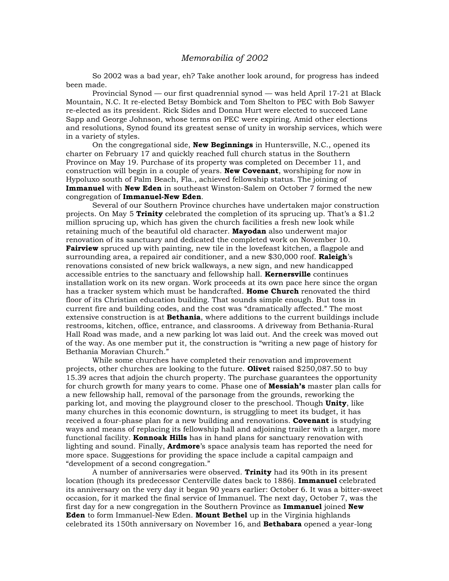## *Memorabilia of 2002*

 So 2002 was a bad year, eh? Take another look around, for progress has indeed been made.

 Provincial Synod — our first quadrennial synod — was held April 17-21 at Black Mountain, N.C. It re-elected Betsy Bombick and Tom Shelton to PEC with Bob Sawyer re-elected as its president. Rick Sides and Donna Hurt were elected to succeed Lane Sapp and George Johnson, whose terms on PEC were expiring. Amid other elections and resolutions, Synod found its greatest sense of unity in worship services, which were in a variety of styles.

 On the congregational side, **New Beginnings** in Huntersville, N.C., opened its charter on February 17 and quickly reached full church status in the Southern Province on May 19. Purchase of its property was completed on December 11, and construction will begin in a couple of years. **New Covenant**, worshiping for now in Hypoluxo south of Palm Beach, Fla., achieved fellowship status. The joining of **Immanuel** with **New Eden** in southeast Winston-Salem on October 7 formed the new congregation of **Immanuel-New Eden**.

 Several of our Southern Province churches have undertaken major construction projects. On May 5 **Trinity** celebrated the completion of its sprucing up. That's a \$1.2 million sprucing up, which has given the church facilities a fresh new look while retaining much of the beautiful old character. **Mayodan** also underwent major renovation of its sanctuary and dedicated the completed work on November 10. **Fairview** spruced up with painting, new tile in the lovefeast kitchen, a flagpole and surrounding area, a repaired air conditioner, and a new \$30,000 roof. **Raleigh**'s renovations consisted of new brick walkways, a new sign, and new handicapped accessible entries to the sanctuary and fellowship hall. **Kernersville** continues installation work on its new organ. Work proceeds at its own pace here since the organ has a tracker system which must be handcrafted. **Home Church** renovated the third floor of its Christian education building. That sounds simple enough. But toss in current fire and building codes, and the cost was "dramatically affected." The most extensive construction is at **Bethania**, where additions to the current buildings include restrooms, kitchen, office, entrance, and classrooms. A driveway from Bethania-Rural Hall Road was made, and a new parking lot was laid out. And the creek was moved out of the way. As one member put it, the construction is "writing a new page of history for Bethania Moravian Church."

 While some churches have completed their renovation and improvement projects, other churches are looking to the future. **Olivet** raised \$250,087.50 to buy 15.39 acres that adjoin the church property. The purchase guarantees the opportunity for church growth for many years to come. Phase one of **Messiah's** master plan calls for a new fellowship hall, removal of the parsonage from the grounds, reworking the parking lot, and moving the playground closer to the preschool. Though **Unity**, like many churches in this economic downturn, is struggling to meet its budget, it has received a four-phase plan for a new building and renovations. **Covenant** is studying ways and means of replacing its fellowship hall and adjoining trailer with a larger, more functional facility. **Konnoak Hills** has in hand plans for sanctuary renovation with lighting and sound. Finally, **Ardmore**'s space analysis team has reported the need for more space. Suggestions for providing the space include a capital campaign and "development of a second congregation."

 A number of anniversaries were observed. **Trinity** had its 90th in its present location (though its predecessor Centerville dates back to 1886). **Immanuel** celebrated its anniversary on the very day it began 90 years earlier: October 6. It was a bitter-sweet occasion, for it marked the final service of Immanuel. The next day, October 7, was the first day for a new congregation in the Southern Province as **Immanuel** joined **New Eden** to form Immanuel-New Eden. **Mount Bethel** up in the Virginia highlands celebrated its 150th anniversary on November 16, and **Bethabara** opened a year-long